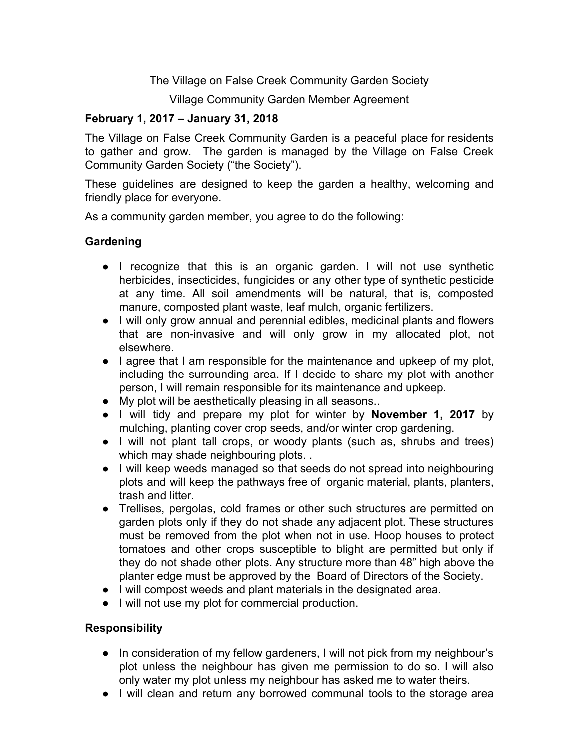The Village on False Creek Community Garden Society

Village Community Garden Member Agreement

# **February 1, 2017 – January 31, 2018**

The Village on False Creek Community Garden is a peaceful place for residents to gather and grow. The garden is managed by the Village on False Creek Community Garden Society ("the Society").

These guidelines are designed to keep the garden a healthy, welcoming and friendly place for everyone.

As a community garden member, you agree to do the following:

## **Gardening**

- I recognize that this is an organic garden. I will not use synthetic herbicides, insecticides, fungicides or any other type of synthetic pesticide at any time. All soil amendments will be natural, that is, composted manure, composted plant waste, leaf mulch, organic fertilizers.
- I will only grow annual and perennial edibles, medicinal plants and flowers that are non-invasive and will only grow in my allocated plot, not elsewhere.
- I agree that I am responsible for the maintenance and upkeep of my plot, including the surrounding area. If I decide to share my plot with another person, I will remain responsible for its maintenance and upkeep.
- My plot will be aesthetically pleasing in all seasons..
- I will tidy and prepare my plot for winter by **November 1, 2017** by mulching, planting cover crop seeds, and/or winter crop gardening.
- I will not plant tall crops, or woody plants (such as, shrubs and trees) which may shade neighbouring plots. .
- I will keep weeds managed so that seeds do not spread into neighbouring plots and will keep the pathways free of organic material, plants, planters, trash and litter.
- Trellises, pergolas, cold frames or other such structures are permitted on garden plots only if they do not shade any adjacent plot. These structures must be removed from the plot when not in use. Hoop houses to protect tomatoes and other crops susceptible to blight are permitted but only if they do not shade other plots. Any structure more than 48" high above the planter edge must be approved by the Board of Directors of the Society.
- I will compost weeds and plant materials in the designated area.
- I will not use my plot for commercial production.

### **Responsibility**

- In consideration of my fellow gardeners, I will not pick from my neighbour's plot unless the neighbour has given me permission to do so. I will also only water my plot unless my neighbour has asked me to water theirs.
- I will clean and return any borrowed communal tools to the storage area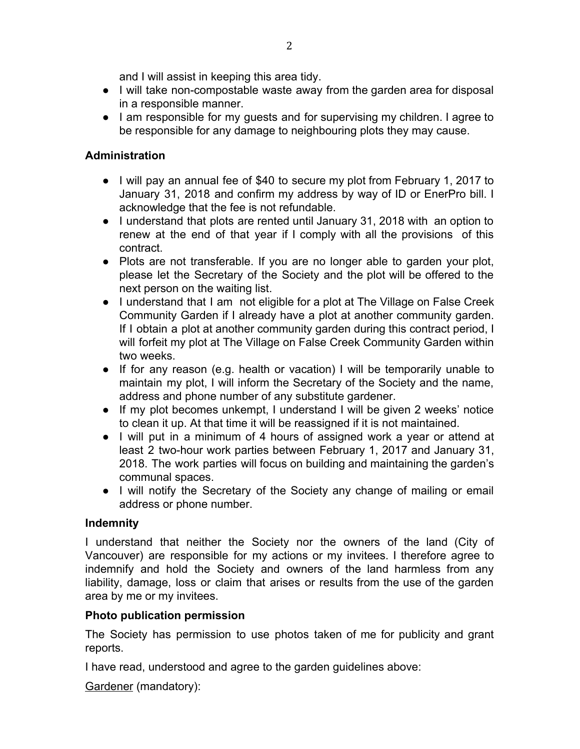and I will assist in keeping this area tidy.

- I will take non-compostable waste away from the garden area for disposal in a responsible manner.
- I am responsible for my guests and for supervising my children. I agree to be responsible for any damage to neighbouring plots they may cause.

# **Administration**

- I will pay an annual fee of \$40 to secure my plot from February 1, 2017 to January 31, 2018 and confirm my address by way of ID or EnerPro bill. I acknowledge that the fee is not refundable.
- I understand that plots are rented until January 31, 2018 with an option to renew at the end of that year if I comply with all the provisions of this contract.
- Plots are not transferable. If you are no longer able to garden your plot, please let the Secretary of the Society and the plot will be offered to the next person on the waiting list.
- I understand that I am not eligible for a plot at The Village on False Creek Community Garden if I already have a plot at another community garden. If I obtain a plot at another community garden during this contract period, I will forfeit my plot at The Village on False Creek Community Garden within two weeks.
- If for any reason (e.g. health or vacation) I will be temporarily unable to maintain my plot, I will inform the Secretary of the Society and the name, address and phone number of any substitute gardener.
- If my plot becomes unkempt, I understand I will be given 2 weeks' notice to clean it up. At that time it will be reassigned if it is not maintained.
- I will put in a minimum of 4 hours of assigned work a year or attend at least 2 two-hour work parties between February 1, 2017 and January 31, 2018. The work parties will focus on building and maintaining the garden's communal spaces.
- I will notify the Secretary of the Society any change of mailing or email address or phone number.

### **Indemnity**

I understand that neither the Society nor the owners of the land (City of Vancouver) are responsible for my actions or my invitees. I therefore agree to indemnify and hold the Society and owners of the land harmless from any liability, damage, loss or claim that arises or results from the use of the garden area by me or my invitees.

# **Photo publication permission**

The Society has permission to use photos taken of me for publicity and grant reports.

I have read, understood and agree to the garden guidelines above:

Gardener (mandatory):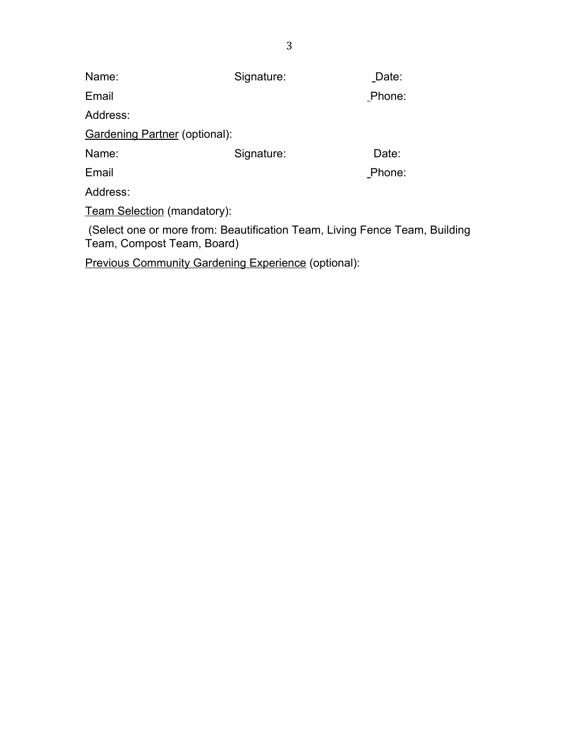| Name:                                                                                                    | Signature: | Date:  |
|----------------------------------------------------------------------------------------------------------|------------|--------|
| Email                                                                                                    |            | Phone: |
| Address:                                                                                                 |            |        |
| <b>Gardening Partner (optional):</b>                                                                     |            |        |
| Name:                                                                                                    | Signature: | Date:  |
| Email                                                                                                    |            | Phone: |
| Address:                                                                                                 |            |        |
| <b>Team Selection (mandatory):</b>                                                                       |            |        |
| (Select one or more from: Beautification Team, Living Fence Team, Building<br>Team, Compost Team, Board) |            |        |

Previous Community Gardening Experience (optional):